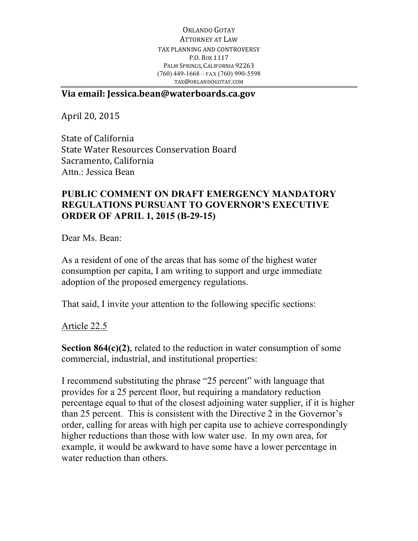ORLANDO GOTAY ATTORNEY AT LAW TAX PLANNING AND CONTROVERSY P.O. BOX 1117 PALM SPRINGS, CALIFORNIA 92263 (760) 449-1668 – FAX (760) 990-5598 TAX@ORLANDOGOTAY.COM

## **Via email: Jessica.bean@waterboards.ca.gov**

April 20, 2015

State of California State Water Resources Conservation Board Sacramento, California Attn.: Jessica Bean

## **PUBLIC COMMENT ON DRAFT EMERGENCY MANDATORY REGULATIONS PURSUANT TO GOVERNOR'S EXECUTIVE ORDER OF APRIL 1, 2015 (B-29-15)**

Dear Ms. Bean:

As a resident of one of the areas that has some of the highest water consumption per capita, I am writing to support and urge immediate adoption of the proposed emergency regulations.

That said, I invite your attention to the following specific sections:

Article 22.5

**Section 864(c)(2)**, related to the reduction in water consumption of some commercial, industrial, and institutional properties:

I recommend substituting the phrase "25 percent" with language that provides for a 25 percent floor, but requiring a mandatory reduction percentage equal to that of the closest adjoining water supplier, if it is higher than 25 percent. This is consistent with the Directive 2 in the Governor's order, calling for areas with high per capita use to achieve correspondingly higher reductions than those with low water use. In my own area, for example, it would be awkward to have some have a lower percentage in water reduction than others.